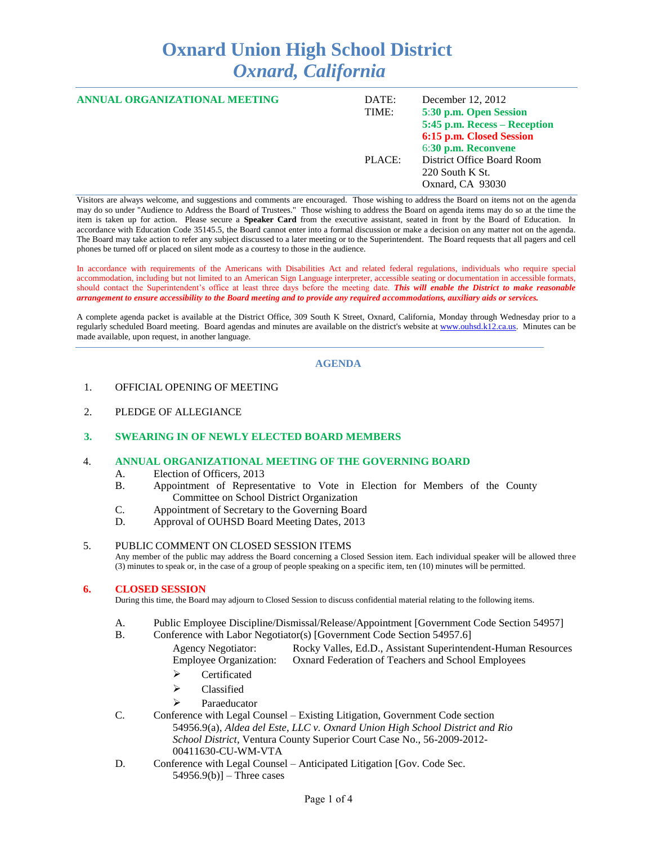# **Oxnard Union High School District** *Oxnard, California*

| ANNUAL ORGANIZATIONAL MEETING | DATE:<br>TIME: | December 12, 2012<br>5:30 p.m. Open Session<br>5:45 p.m. Recess – Reception<br>6:15 p.m. Closed Session<br>6:30 p.m. Reconvene |
|-------------------------------|----------------|--------------------------------------------------------------------------------------------------------------------------------|
|                               | PLACE:         | District Office Board Room<br>$220$ South K St.<br>Oxnard, CA 93030                                                            |

Visitors are always welcome, and suggestions and comments are encouraged. Those wishing to address the Board on items not on the agenda may do so under "Audience to Address the Board of Trustees." Those wishing to address the Board on agenda items may do so at the time the item is taken up for action. Please secure a **Speaker Card** from the executive assistant, seated in front by the Board of Education. In accordance with Education Code 35145.5, the Board cannot enter into a formal discussion or make a decision on any matter not on the agenda. The Board may take action to refer any subject discussed to a later meeting or to the Superintendent. The Board requests that all pagers and cell phones be turned off or placed on silent mode as a courtesy to those in the audience.

In accordance with requirements of the Americans with Disabilities Act and related federal regulations, individuals who require special accommodation, including but not limited to an American Sign Language interpreter, accessible seating or documentation in accessible formats, should contact the Superintendent's office at least three days before the meeting date. *This will enable the District to make reasonable arrangement to ensure accessibility to the Board meeting and to provide any required accommodations, auxiliary aids or services.* 

A complete agenda packet is available at the District Office, 309 South K Street, Oxnard, California, Monday through Wednesday prior to a regularly scheduled Board meeting. Board agendas and minutes are available on the district's website at [www.ouhsd.k12.ca.us.](http://www.ouhsd.k12.ca.us/)Minutes can be made available, upon request, in another language.

## **AGENDA**

- 1. OFFICIAL OPENING OF MEETING
- 2. PLEDGE OF ALLEGIANCE

## **3. SWEARING IN OF NEWLY ELECTED BOARD MEMBERS**

#### 4. **ANNUAL ORGANIZATIONAL MEETING OF THE GOVERNING BOARD**

- A. Election of Officers, 2013
- B. Appointment of Representative to Vote in Election for Members of the County Committee on School District Organization
- C. Appointment of Secretary to the Governing Board
- D. Approval of OUHSD Board Meeting Dates, 2013

#### 5. PUBLIC COMMENT ON CLOSED SESSION ITEMS

Any member of the public may address the Board concerning a Closed Session item. Each individual speaker will be allowed three (3) minutes to speak or, in the case of a group of people speaking on a specific item, ten (10) minutes will be permitted.

#### **6. CLOSED SESSION**

During this time, the Board may adjourn to Closed Session to discuss confidential material relating to the following items.

- A. Public Employee Discipline/Dismissal/Release/Appointment [Government Code Section 54957]
- B. Conference with Labor Negotiator(s) [Government Code Section 54957.6]
	- Agency Negotiator: Rocky Valles, Ed.D., Assistant Superintendent-Human Resources Employee Organization: Oxnard Federation of Teachers and School Employees
		- > Certificated
		- $\triangleright$  Classified
		- > Paraeducator
- C. Conference with Legal Counsel Existing Litigation, Government Code section 54956.9(a), *Aldea del Este, LLC v. Oxnard Union High School District and Rio School District*, Ventura County Superior Court Case No., 56-2009-2012- 00411630-CU-WM-VTA
- D. Conference with Legal Counsel Anticipated Litigation [Gov. Code Sec.  $54956.9(b)$ ] – Three cases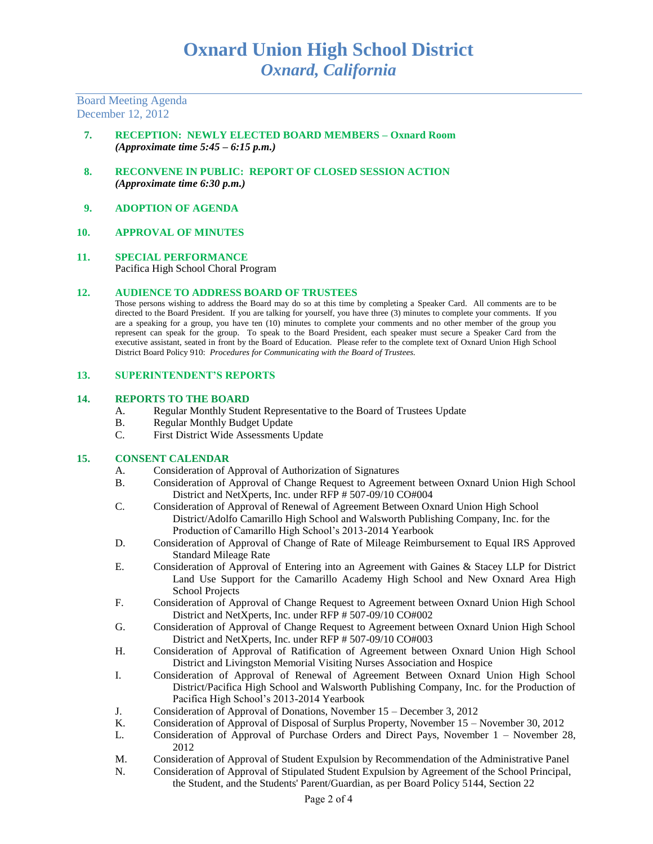Board Meeting Agenda December 12, 2012

- **7. RECEPTION: NEWLY ELECTED BOARD MEMBERS – Oxnard Room** *(Approximate time 5:45 – 6:15 p.m.)*
- **8. RECONVENE IN PUBLIC: REPORT OF CLOSED SESSION ACTION** *(Approximate time 6:30 p.m.)*
- **9. ADOPTION OF AGENDA**
- **10. APPROVAL OF MINUTES**
- **11. SPECIAL PERFORMANCE** Pacifica High School Choral Program

#### **12. AUDIENCE TO ADDRESS BOARD OF TRUSTEES**

Those persons wishing to address the Board may do so at this time by completing a Speaker Card. All comments are to be directed to the Board President. If you are talking for yourself, you have three (3) minutes to complete your comments. If you are a speaking for a group, you have ten (10) minutes to complete your comments and no other member of the group you represent can speak for the group. To speak to the Board President, each speaker must secure a Speaker Card from the executive assistant, seated in front by the Board of Education. Please refer to the complete text of Oxnard Union High School District Board Policy 910: *Procedures for Communicating with the Board of Trustees.*

## **13. SUPERINTENDENT'S REPORTS**

#### **14. REPORTS TO THE BOARD**

- A. Regular Monthly Student Representative to the Board of Trustees Update
- B. Regular Monthly Budget Update
- C. First District Wide Assessments Update

## **15. CONSENT CALENDAR**

- A. Consideration of Approval of Authorization of Signatures
- B. Consideration of Approval of Change Request to Agreement between Oxnard Union High School District and NetXperts, Inc. under RFP # 507-09/10 CO#004
- C. Consideration of Approval of Renewal of Agreement Between Oxnard Union High School District/Adolfo Camarillo High School and Walsworth Publishing Company, Inc. for the Production of Camarillo High School's 2013-2014 Yearbook
- D. Consideration of Approval of Change of Rate of Mileage Reimbursement to Equal IRS Approved Standard Mileage Rate
- E. Consideration of Approval of Entering into an Agreement with Gaines & Stacey LLP for District Land Use Support for the Camarillo Academy High School and New Oxnard Area High School Projects
- F. Consideration of Approval of Change Request to Agreement between Oxnard Union High School District and NetXperts, Inc. under RFP # 507-09/10 CO#002
- G. Consideration of Approval of Change Request to Agreement between Oxnard Union High School District and NetXperts, Inc. under RFP # 507-09/10 CO#003
- H. Consideration of Approval of Ratification of Agreement between Oxnard Union High School District and Livingston Memorial Visiting Nurses Association and Hospice
- I. Consideration of Approval of Renewal of Agreement Between Oxnard Union High School District/Pacifica High School and Walsworth Publishing Company, Inc. for the Production of Pacifica High School's 2013-2014 Yearbook
- J. Consideration of Approval of Donations, November 15 December 3, 2012
- K. Consideration of Approval of Disposal of Surplus Property, November 15 November 30, 2012
- L. Consideration of Approval of Purchase Orders and Direct Pays, November 1 November 28, 2012
- M. Consideration of Approval of Student Expulsion by Recommendation of the Administrative Panel
- N. Consideration of Approval of Stipulated Student Expulsion by Agreement of the School Principal, the Student, and the Students' Parent/Guardian, as per Board Policy 5144, Section 22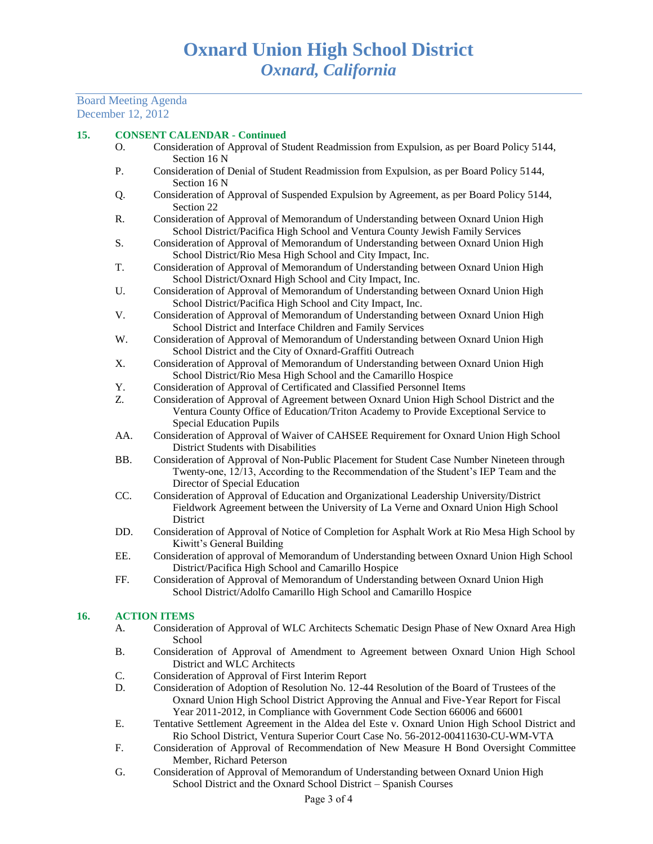Board Meeting Agenda December 12, 2012

## **15. CONSENT CALENDAR - Continued**

- O. Consideration of Approval of Student Readmission from Expulsion, as per Board Policy 5144, Section 16 N
- P. Consideration of Denial of Student Readmission from Expulsion, as per Board Policy 5144, Section 16 N
- Q. Consideration of Approval of Suspended Expulsion by Agreement, as per Board Policy 5144, Section 22
- R. Consideration of Approval of Memorandum of Understanding between Oxnard Union High School District/Pacifica High School and Ventura County Jewish Family Services
- S. Consideration of Approval of Memorandum of Understanding between Oxnard Union High School District/Rio Mesa High School and City Impact, Inc.
- T. Consideration of Approval of Memorandum of Understanding between Oxnard Union High School District/Oxnard High School and City Impact, Inc.
- U. Consideration of Approval of Memorandum of Understanding between Oxnard Union High School District/Pacifica High School and City Impact, Inc.
- V. Consideration of Approval of Memorandum of Understanding between Oxnard Union High School District and Interface Children and Family Services
- W. Consideration of Approval of Memorandum of Understanding between Oxnard Union High School District and the City of Oxnard-Graffiti Outreach
- X. Consideration of Approval of Memorandum of Understanding between Oxnard Union High School District/Rio Mesa High School and the Camarillo Hospice
- Y. Consideration of Approval of Certificated and Classified Personnel Items
- Z. Consideration of Approval of Agreement between Oxnard Union High School District and the Ventura County Office of Education/Triton Academy to Provide Exceptional Service to Special Education Pupils
- AA. Consideration of Approval of Waiver of CAHSEE Requirement for Oxnard Union High School District Students with Disabilities
- BB. Consideration of Approval of Non-Public Placement for Student Case Number Nineteen through Twenty-one, 12/13, According to the Recommendation of the Student's IEP Team and the Director of Special Education
- CC. Consideration of Approval of Education and Organizational Leadership University/District Fieldwork Agreement between the University of La Verne and Oxnard Union High School District
- DD. Consideration of Approval of Notice of Completion for Asphalt Work at Rio Mesa High School by Kiwitt's General Building
- EE. Consideration of approval of Memorandum of Understanding between Oxnard Union High School District/Pacifica High School and Camarillo Hospice
- FF. Consideration of Approval of Memorandum of Understanding between Oxnard Union High School District/Adolfo Camarillo High School and Camarillo Hospice

## **16. ACTION ITEMS**

- A. Consideration of Approval of WLC Architects Schematic Design Phase of New Oxnard Area High School
- B. Consideration of Approval of Amendment to Agreement between Oxnard Union High School District and WLC Architects
- C. Consideration of Approval of First Interim Report
- D. Consideration of Adoption of Resolution No. 12-44 Resolution of the Board of Trustees of the Oxnard Union High School District Approving the Annual and Five-Year Report for Fiscal Year 2011-2012, in Compliance with Government Code Section 66006 and 66001
- E. Tentative Settlement Agreement in the Aldea del Este v. Oxnard Union High School District and Rio School District, Ventura Superior Court Case No. 56-2012-00411630-CU-WM-VTA
- F. Consideration of Approval of Recommendation of New Measure H Bond Oversight Committee Member, Richard Peterson
- G. Consideration of Approval of Memorandum of Understanding between Oxnard Union High School District and the Oxnard School District – Spanish Courses